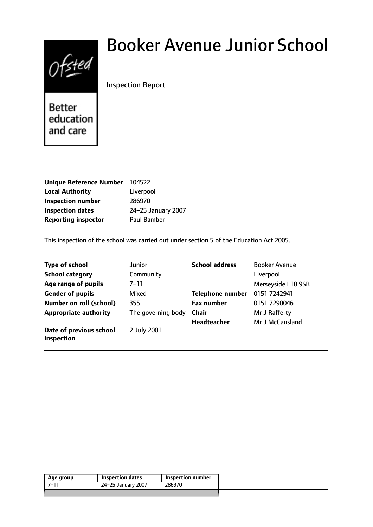

# Booker Avenue Junior School

## Inspection Report

Better education and care

| Unique Reference Number    | 104522             |
|----------------------------|--------------------|
| <b>Local Authority</b>     | Liverpool          |
| <b>Inspection number</b>   | 286970             |
| <b>Inspection dates</b>    | 24-25 January 2007 |
| <b>Reporting inspector</b> | <b>Paul Bamber</b> |

This inspection of the school was carried out under section 5 of the Education Act 2005.

| <b>Type of school</b>                 | <b>Junior</b>      | <b>School address</b>   | <b>Booker Avenue</b> |
|---------------------------------------|--------------------|-------------------------|----------------------|
| <b>School category</b>                | Community          |                         | Liverpool            |
| Age range of pupils                   | $7 - 11$           |                         | Merseyside L18 9SB   |
| <b>Gender of pupils</b>               | Mixed              | <b>Telephone number</b> | 0151 7242941         |
| <b>Number on roll (school)</b>        | 355                | <b>Fax number</b>       | 0151 7290046         |
| <b>Appropriate authority</b>          | The governing body | <b>Chair</b>            | Mr J Rafferty        |
|                                       |                    | <b>Headteacher</b>      | Mr J McCausland      |
| Date of previous school<br>inspection | 2 July 2001        |                         |                      |

|      |                    | Inspection number |
|------|--------------------|-------------------|
| 7–11 | 24-25 January 2007 | 286970            |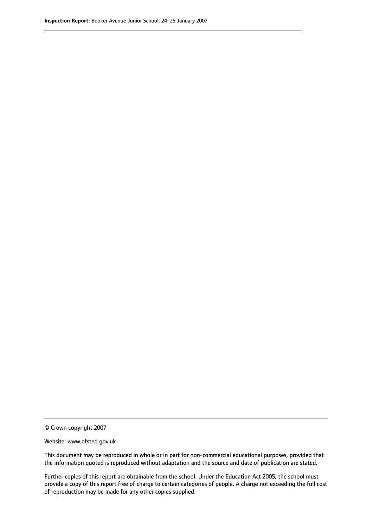© Crown copyright 2007

Website: www.ofsted.gov.uk

This document may be reproduced in whole or in part for non-commercial educational purposes, provided that the information quoted is reproduced without adaptation and the source and date of publication are stated.

Further copies of this report are obtainable from the school. Under the Education Act 2005, the school must provide a copy of this report free of charge to certain categories of people. A charge not exceeding the full cost of reproduction may be made for any other copies supplied.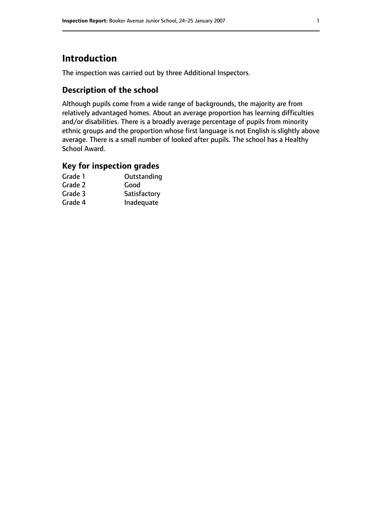# **Introduction**

The inspection was carried out by three Additional Inspectors.

## **Description of the school**

Although pupils come from a wide range of backgrounds, the majority are from relatively advantaged homes. About an average proportion has learning difficulties and/or disabilities. There is a broadly average percentage of pupils from minority ethnic groups and the proportion whose first language is not English is slightly above average. There is a small number of looked after pupils. The school has a Healthy School Award.

### **Key for inspection grades**

| Outstanding  |
|--------------|
| Good         |
| Satisfactory |
| Inadequate   |
|              |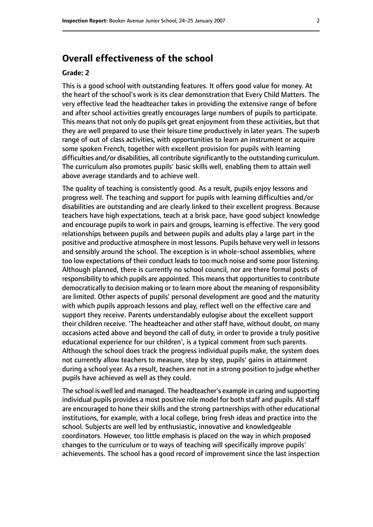## **Overall effectiveness of the school**

#### **Grade: 2**

This is a good school with outstanding features. It offers good value for money. At the heart of the school's work is its clear demonstration that Every Child Matters. The very effective lead the headteacher takes in providing the extensive range of before and after school activities greatly encourages large numbers of pupils to participate. This means that not only do pupils get great enjoyment from these activities, but that they are well prepared to use their leisure time productively in later years. The superb range of out of class activities, with opportunities to learn an instrument or acquire some spoken French, together with excellent provision for pupils with learning difficulties and/or disabilities, all contribute significantly to the outstanding curriculum. The curriculum also promotes pupils' basic skills well, enabling them to attain well above average standards and to achieve well.

The quality of teaching is consistently good. As a result, pupils enjoy lessons and progress well. The teaching and support for pupils with learning difficulties and/or disabilities are outstanding and are clearly linked to their excellent progress. Because teachers have high expectations, teach at a brisk pace, have good subject knowledge and encourage pupils to work in pairs and groups, learning is effective. The very good relationships between pupils and between pupils and adults play a large part in the positive and productive atmosphere in most lessons. Pupils behave very well in lessons and sensibly around the school. The exception is in whole-school assemblies, where too low expectations of their conduct leads to too much noise and some poor listening. Although planned, there is currently no school council, nor are there formal posts of responsibility to which pupils are appointed. This means that opportunities to contribute democratically to decision making or to learn more about the meaning of responsibility are limited. Other aspects of pupils' personal development are good and the maturity with which pupils approach lessons and play, reflect well on the effective care and support they receive. Parents understandably eulogise about the excellent support their children receive. 'The headteacher and other staff have, without doubt, on many occasions acted above and beyond the call of duty, in order to provide a truly positive educational experience for our children', is a typical comment from such parents. Although the school does track the progress individual pupils make, the system does not currently allow teachers to measure, step by step, pupils' gains in attainment during a school year. As a result, teachers are not in a strong position to judge whether pupils have achieved as well as they could.

The school is well led and managed. The headteacher's example in caring and supporting individual pupils provides a most positive role model for both staff and pupils. All staff are encouraged to hone their skills and the strong partnerships with other educational institutions, for example, with a local college, bring fresh ideas and practice into the school. Subjects are well led by enthusiastic, innovative and knowledgeable coordinators. However, too little emphasis is placed on the way in which proposed changes to the curriculum or to ways of teaching will specifically improve pupils' achievements. The school has a good record of improvement since the last inspection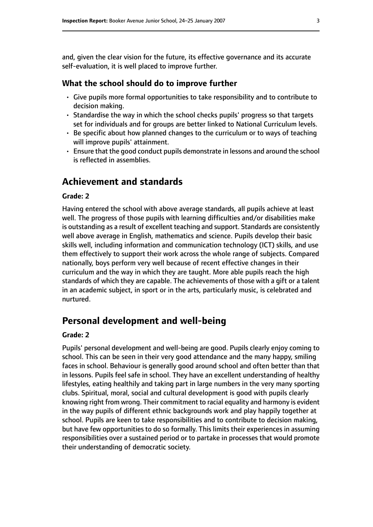and, given the clear vision for the future, its effective governance and its accurate self-evaluation, it is well placed to improve further.

#### **What the school should do to improve further**

- Give pupils more formal opportunities to take responsibility and to contribute to decision making.
- Standardise the way in which the school checks pupils' progress so that targets set for individuals and for groups are better linked to National Curriculum levels.
- Be specific about how planned changes to the curriculum or to ways of teaching will improve pupils' attainment.
- Ensure that the good conduct pupils demonstrate in lessons and around the school is reflected in assemblies.

## **Achievement and standards**

#### **Grade: 2**

Having entered the school with above average standards, all pupils achieve at least well. The progress of those pupils with learning difficulties and/or disabilities make is outstanding as a result of excellent teaching and support. Standards are consistently well above average in English, mathematics and science. Pupils develop their basic skills well, including information and communication technology (ICT) skills, and use them effectively to support their work across the whole range of subjects. Compared nationally, boys perform very well because of recent effective changes in their curriculum and the way in which they are taught. More able pupils reach the high standards of which they are capable. The achievements of those with a gift or a talent in an academic subject, in sport or in the arts, particularly music, is celebrated and nurtured.

## **Personal development and well-being**

#### **Grade: 2**

Pupils' personal development and well-being are good. Pupils clearly enjoy coming to school. This can be seen in their very good attendance and the many happy, smiling faces in school. Behaviour is generally good around school and often better than that in lessons. Pupils feel safe in school. They have an excellent understanding of healthy lifestyles, eating healthily and taking part in large numbers in the very many sporting clubs. Spiritual, moral, social and cultural development is good with pupils clearly knowing right from wrong. Their commitment to racial equality and harmony is evident in the way pupils of different ethnic backgrounds work and play happily together at school. Pupils are keen to take responsibilities and to contribute to decision making, but have few opportunities to do so formally. This limits their experiences in assuming responsibilities over a sustained period or to partake in processes that would promote their understanding of democratic society.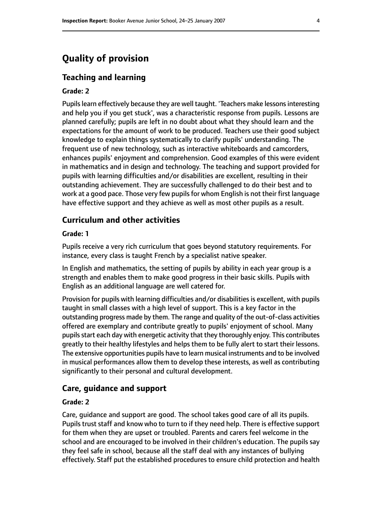## **Quality of provision**

#### **Teaching and learning**

#### **Grade: 2**

Pupils learn effectively because they are well taught. 'Teachers make lessons interesting and help you if you get stuck', was a characteristic response from pupils. Lessons are planned carefully; pupils are left in no doubt about what they should learn and the expectations for the amount of work to be produced. Teachers use their good subject knowledge to explain things systematically to clarify pupils' understanding. The frequent use of new technology, such as interactive whiteboards and camcorders, enhances pupils' enjoyment and comprehension. Good examples of this were evident in mathematics and in design and technology. The teaching and support provided for pupils with learning difficulties and/or disabilities are excellent, resulting in their outstanding achievement. They are successfully challenged to do their best and to work at a good pace. Those very few pupils for whom English is not their first language have effective support and they achieve as well as most other pupils as a result.

#### **Curriculum and other activities**

#### **Grade: 1**

Pupils receive a very rich curriculum that goes beyond statutory requirements. For instance, every class is taught French by a specialist native speaker.

In English and mathematics, the setting of pupils by ability in each year group is a strength and enables them to make good progress in their basic skills. Pupils with English as an additional language are well catered for.

Provision for pupils with learning difficulties and/or disabilities is excellent, with pupils taught in small classes with a high level of support. This is a key factor in the outstanding progress made by them. The range and quality of the out-of-class activities offered are exemplary and contribute greatly to pupils' enjoyment of school. Many pupils start each day with energetic activity that they thoroughly enjoy. This contributes greatly to their healthy lifestyles and helps them to be fully alert to start their lessons. The extensive opportunities pupils have to learn musical instruments and to be involved in musical performances allow them to develop these interests, as well as contributing significantly to their personal and cultural development.

#### **Care, guidance and support**

#### **Grade: 2**

Care, guidance and support are good. The school takes good care of all its pupils. Pupils trust staff and know who to turn to if they need help. There is effective support for them when they are upset or troubled. Parents and carers feel welcome in the school and are encouraged to be involved in their children's education. The pupils say they feel safe in school, because all the staff deal with any instances of bullying effectively. Staff put the established procedures to ensure child protection and health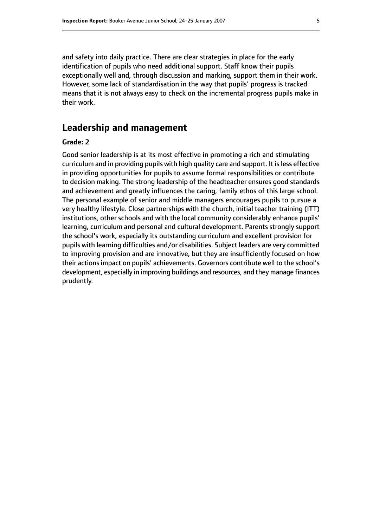and safety into daily practice. There are clear strategies in place for the early identification of pupils who need additional support. Staff know their pupils exceptionally well and, through discussion and marking, support them in their work. However, some lack of standardisation in the way that pupils' progress is tracked means that it is not always easy to check on the incremental progress pupils make in their work.

## **Leadership and management**

#### **Grade: 2**

Good senior leadership is at its most effective in promoting a rich and stimulating curriculum and in providing pupils with high quality care and support. It isless effective in providing opportunities for pupils to assume formal responsibilities or contribute to decision making. The strong leadership of the headteacher ensures good standards and achievement and greatly influences the caring, family ethos of this large school. The personal example of senior and middle managers encourages pupils to pursue a very healthy lifestyle. Close partnerships with the church, initial teacher training (ITT) institutions, other schools and with the local community considerably enhance pupils' learning, curriculum and personal and cultural development. Parents strongly support the school's work, especially its outstanding curriculum and excellent provision for pupils with learning difficulties and/or disabilities. Subject leaders are very committed to improving provision and are innovative, but they are insufficiently focused on how their actions impact on pupils' achievements. Governors contribute well to the school's development, especially in improving buildings and resources, and they manage finances prudently.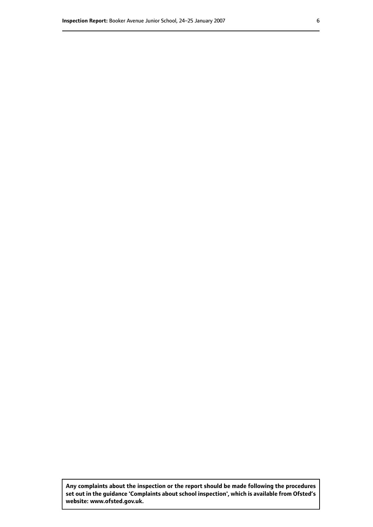**Any complaints about the inspection or the report should be made following the procedures set out inthe guidance 'Complaints about school inspection', whichis available from Ofsted's website: www.ofsted.gov.uk.**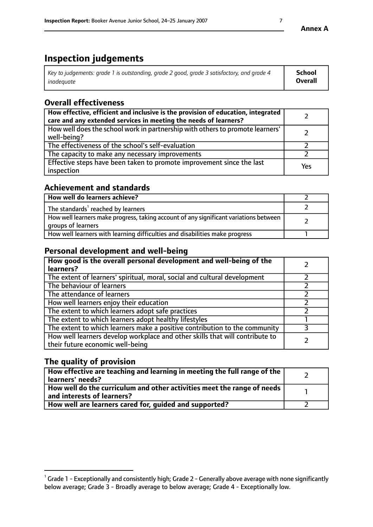# **Inspection judgements**

| Key to judgements: grade 1 is outstanding, grade 2 good, grade 3 satisfactory, and grade 4 | <b>School</b>  |
|--------------------------------------------------------------------------------------------|----------------|
| inadeauate                                                                                 | <b>Overall</b> |

## **Overall effectiveness**

| How effective, efficient and inclusive is the provision of education, integrated<br>care and any extended services in meeting the needs of learners? |     |
|------------------------------------------------------------------------------------------------------------------------------------------------------|-----|
| How well does the school work in partnership with others to promote learners'<br>well-being?                                                         |     |
| The effectiveness of the school's self-evaluation                                                                                                    |     |
| The capacity to make any necessary improvements                                                                                                      |     |
| Effective steps have been taken to promote improvement since the last<br>inspection                                                                  | Yes |

## **Achievement and standards**

| How well do learners achieve?                                                                               |  |
|-------------------------------------------------------------------------------------------------------------|--|
| The standards <sup>1</sup> reached by learners                                                              |  |
| How well learners make progress, taking account of any significant variations between<br>groups of learners |  |
| How well learners with learning difficulties and disabilities make progress                                 |  |

## **Personal development and well-being**

| How good is the overall personal development and well-being of the<br>learners?                                  |  |
|------------------------------------------------------------------------------------------------------------------|--|
| The extent of learners' spiritual, moral, social and cultural development                                        |  |
| The behaviour of learners                                                                                        |  |
| The attendance of learners                                                                                       |  |
| How well learners enjoy their education                                                                          |  |
| The extent to which learners adopt safe practices                                                                |  |
| The extent to which learners adopt healthy lifestyles                                                            |  |
| The extent to which learners make a positive contribution to the community                                       |  |
| How well learners develop workplace and other skills that will contribute to<br>their future economic well-being |  |

## **The quality of provision**

| How effective are teaching and learning in meeting the full range of the<br>learners' needs?            |  |
|---------------------------------------------------------------------------------------------------------|--|
| How well do the curriculum and other activities meet the range of needs  <br>and interests of learners? |  |
| How well are learners cared for, guided and supported?                                                  |  |

 $^1$  Grade 1 - Exceptionally and consistently high; Grade 2 - Generally above average with none significantly below average; Grade 3 - Broadly average to below average; Grade 4 - Exceptionally low.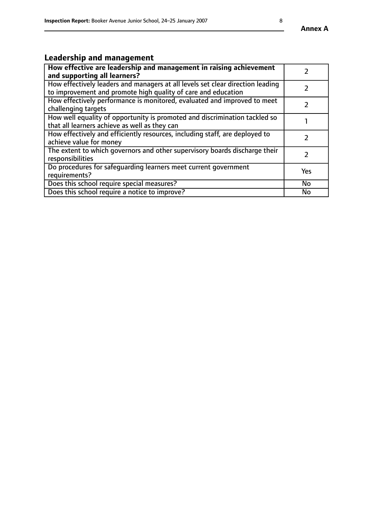# **Leadership and management**

| How effective are leadership and management in raising achievement<br>and supporting all learners?                                              |     |
|-------------------------------------------------------------------------------------------------------------------------------------------------|-----|
| How effectively leaders and managers at all levels set clear direction leading<br>to improvement and promote high quality of care and education |     |
| How effectively performance is monitored, evaluated and improved to meet<br>challenging targets                                                 |     |
| How well equality of opportunity is promoted and discrimination tackled so<br>that all learners achieve as well as they can                     |     |
| How effectively and efficiently resources, including staff, are deployed to<br>achieve value for money                                          |     |
| The extent to which governors and other supervisory boards discharge their<br>responsibilities                                                  |     |
| Do procedures for safequarding learners meet current government<br>requirements?                                                                | Yes |
| Does this school require special measures?                                                                                                      | No  |
| Does this school require a notice to improve?                                                                                                   | No  |